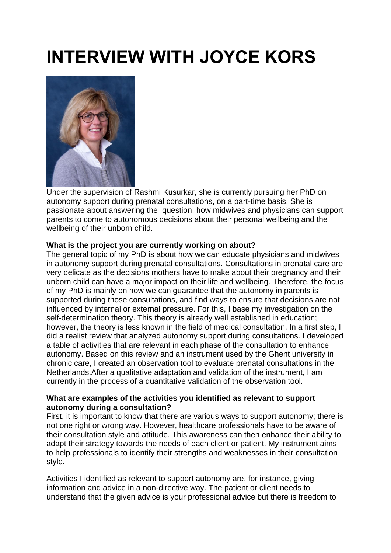# **INTERVIEW WITH JOYCE KORS**



Under the supervision of Rashmi Kusurkar, she is currently pursuing her PhD on autonomy support during prenatal consultations, on a part-time basis. She is passionate about answering the question, how midwives and physicians can support parents to come to autonomous decisions about their personal wellbeing and the wellbeing of their unborn child.

# **What is the project you are currently working on about?**

The general topic of my PhD is about how we can educate physicians and midwives in autonomy support during prenatal consultations. Consultations in prenatal care are very delicate as the decisions mothers have to make about their pregnancy and their unborn child can have a major impact on their life and wellbeing. Therefore, the focus of my PhD is mainly on how we can guarantee that the autonomy in parents is supported during those consultations, and find ways to ensure that decisions are not influenced by internal or external pressure. For this, I base my investigation on the self-determination theory. This theory is already well established in education; however, the theory is less known in the field of medical consultation. In a first step, I did a realist review that analyzed autonomy support during consultations. I developed a table of activities that are relevant in each phase of the consultation to enhance autonomy. Based on this review and an instrument used by the Ghent university in chronic care, I created an observation tool to evaluate prenatal consultations in the Netherlands.After a qualitative adaptation and validation of the instrument, I am currently in the process of a quantitative validation of the observation tool.

# **What are examples of the activities you identified as relevant to support autonomy during a consultation?**

First, it is important to know that there are various ways to support autonomy; there is not one right or wrong way. However, healthcare professionals have to be aware of their consultation style and attitude. This awareness can then enhance their ability to adapt their strategy towards the needs of each client or patient. My instrument aims to help professionals to identify their strengths and weaknesses in their consultation style.

Activities I identified as relevant to support autonomy are, for instance, giving information and advice in a non-directive way. The patient or client needs to understand that the given advice is your professional advice but there is freedom to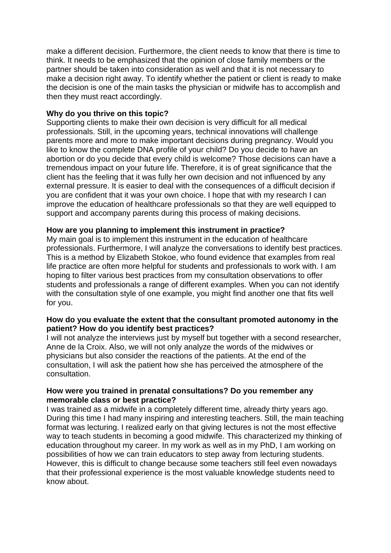make a different decision. Furthermore, the client needs to know that there is time to think. It needs to be emphasized that the opinion of close family members or the partner should be taken into consideration as well and that it is not necessary to make a decision right away. To identify whether the patient or client is ready to make the decision is one of the main tasks the physician or midwife has to accomplish and then they must react accordingly.

### **Why do you thrive on this topic?**

Supporting clients to make their own decision is very difficult for all medical professionals. Still, in the upcoming years, technical innovations will challenge parents more and more to make important decisions during pregnancy. Would you like to know the complete DNA profile of your child? Do you decide to have an abortion or do you decide that every child is welcome? Those decisions can have a tremendous impact on your future life. Therefore, it is of great significance that the client has the feeling that it was fully her own decision and not influenced by any external pressure. It is easier to deal with the consequences of a difficult decision if you are confident that it was your own choice. I hope that with my research I can improve the education of healthcare professionals so that they are well equipped to support and accompany parents during this process of making decisions.

#### **How are you planning to implement this instrument in practice?**

My main goal is to implement this instrument in the education of healthcare professionals. Furthermore, I will analyze the conversations to identify best practices. This is a method by Elizabeth Stokoe, who found evidence that examples from real life practice are often more helpful for students and professionals to work with. I am hoping to filter various best practices from my consultation observations to offer students and professionals a range of different examples. When you can not identify with the consultation style of one example, you might find another one that fits well for you.

#### **How do you evaluate the extent that the consultant promoted autonomy in the patient? How do you identify best practices?**

I will not analyze the interviews just by myself but together with a second researcher, Anne de la Croix. Also, we will not only analyze the words of the midwives or physicians but also consider the reactions of the patients. At the end of the consultation, I will ask the patient how she has perceived the atmosphere of the consultation.

## **How were you trained in prenatal consultations? Do you remember any memorable class or best practice?**

I was trained as a midwife in a completely different time, already thirty years ago. During this time I had many inspiring and interesting teachers. Still, the main teaching format was lecturing. I realized early on that giving lectures is not the most effective way to teach students in becoming a good midwife. This characterized my thinking of education throughout my career. In my work as well as in my PhD, I am working on possibilities of how we can train educators to step away from lecturing students. However, this is difficult to change because some teachers still feel even nowadays that their professional experience is the most valuable knowledge students need to know about.